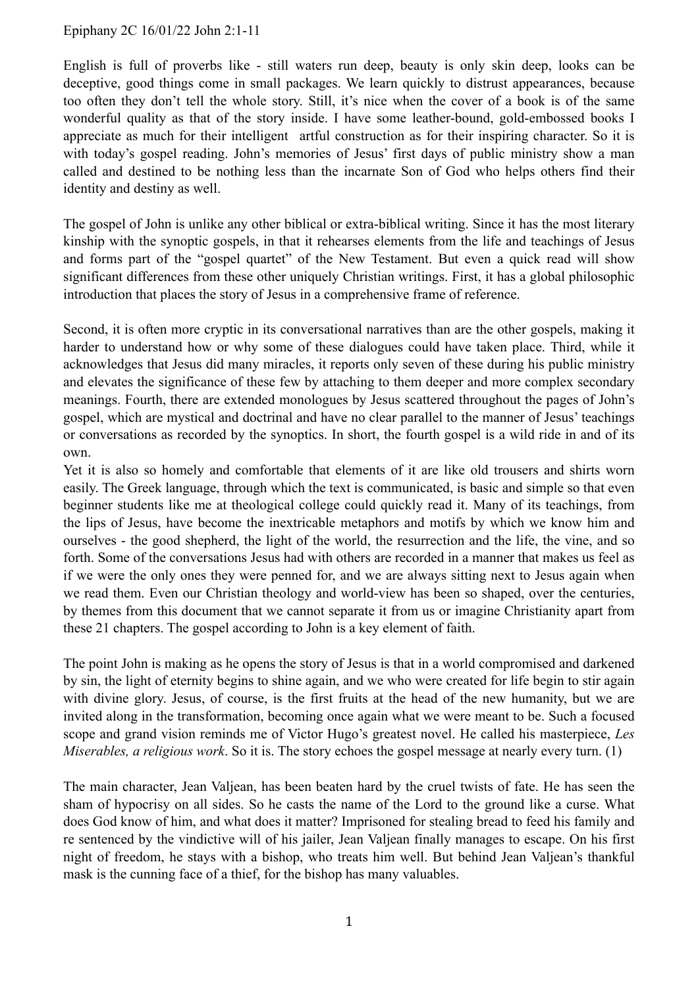## Epiphany 2C 16/01/22 John 2:1-11

English is full of proverbs like - still waters run deep, beauty is only skin deep, looks can be deceptive, good things come in small packages. We learn quickly to distrust appearances, because too often they don't tell the whole story. Still, it's nice when the cover of a book is of the same wonderful quality as that of the story inside. I have some leather-bound, gold-embossed books I appreciate as much for their intelligent artful construction as for their inspiring character. So it is with today's gospel reading. John's memories of Jesus' first days of public ministry show a man called and destined to be nothing less than the incarnate Son of God who helps others find their identity and destiny as well.

The gospel of John is unlike any other biblical or extra-biblical writing. Since it has the most literary kinship with the synoptic gospels, in that it rehearses elements from the life and teachings of Jesus and forms part of the "gospel quartet" of the New Testament. But even a quick read will show significant differences from these other uniquely Christian writings. First, it has a global philosophic introduction that places the story of Jesus in a comprehensive frame of reference.

Second, it is often more cryptic in its conversational narratives than are the other gospels, making it harder to understand how or why some of these dialogues could have taken place. Third, while it acknowledges that Jesus did many miracles, it reports only seven of these during his public ministry and elevates the significance of these few by attaching to them deeper and more complex secondary meanings. Fourth, there are extended monologues by Jesus scattered throughout the pages of John's gospel, which are mystical and doctrinal and have no clear parallel to the manner of Jesus' teachings or conversations as recorded by the synoptics. In short, the fourth gospel is a wild ride in and of its own.

Yet it is also so homely and comfortable that elements of it are like old trousers and shirts worn easily. The Greek language, through which the text is communicated, is basic and simple so that even beginner students like me at theological college could quickly read it. Many of its teachings, from the lips of Jesus, have become the inextricable metaphors and motifs by which we know him and ourselves - the good shepherd, the light of the world, the resurrection and the life, the vine, and so forth. Some of the conversations Jesus had with others are recorded in a manner that makes us feel as if we were the only ones they were penned for, and we are always sitting next to Jesus again when we read them. Even our Christian theology and world-view has been so shaped, over the centuries, by themes from this document that we cannot separate it from us or imagine Christianity apart from these 21 chapters. The gospel according to John is a key element of faith.

The point John is making as he opens the story of Jesus is that in a world compromised and darkened by sin, the light of eternity begins to shine again, and we who were created for life begin to stir again with divine glory. Jesus, of course, is the first fruits at the head of the new humanity, but we are invited along in the transformation, becoming once again what we were meant to be. Such a focused scope and grand vision reminds me of Victor Hugo's greatest novel. He called his masterpiece, *Les Miserables, a religious work*. So it is. The story echoes the gospel message at nearly every turn. (1)

The main character, Jean Valjean, has been beaten hard by the cruel twists of fate. He has seen the sham of hypocrisy on all sides. So he casts the name of the Lord to the ground like a curse. What does God know of him, and what does it matter? Imprisoned for stealing bread to feed his family and re sentenced by the vindictive will of his jailer, Jean Valjean finally manages to escape. On his first night of freedom, he stays with a bishop, who treats him well. But behind Jean Valjean's thankful mask is the cunning face of a thief, for the bishop has many valuables.